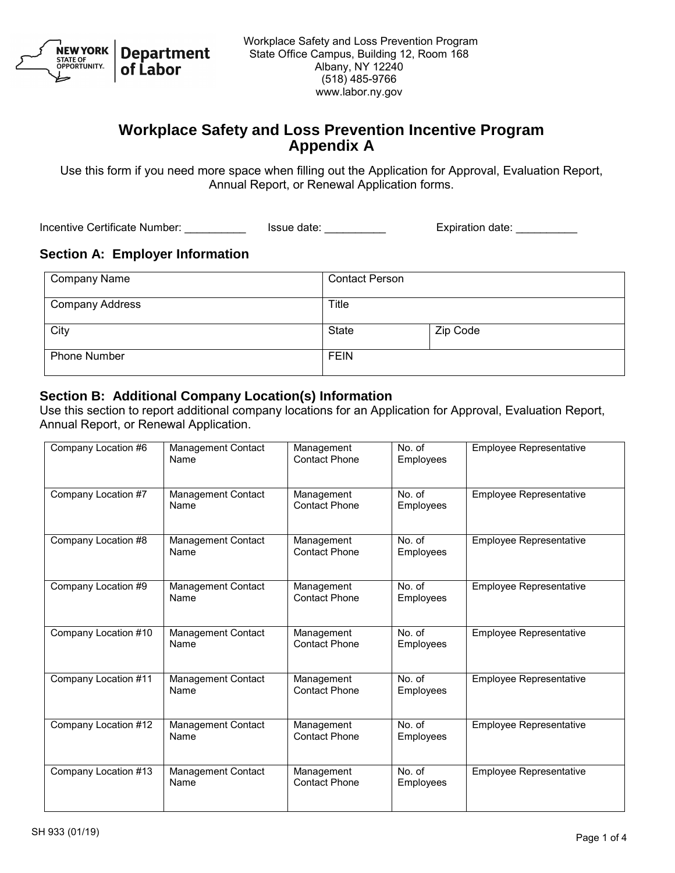

# **Workplace Safety and Loss Prevention Incentive Program Appendix A**

Use this form if you need more space when filling out the Application for Approval, Evaluation Report, Annual Report, or Renewal Application forms.

Incentive Certificate Number: \_\_\_\_\_\_\_\_\_\_\_\_\_\_\_ Issue date: \_\_\_\_\_\_\_\_\_\_\_\_\_\_\_\_\_\_\_\_\_\_ Expiration date: \_\_\_\_\_\_\_\_\_\_\_

#### **Section A: Employer Information**

| <b>Company Name</b>    | <b>Contact Person</b> |          |
|------------------------|-----------------------|----------|
| <b>Company Address</b> | Title                 |          |
| City                   | <b>State</b>          | Zip Code |
| <b>Phone Number</b>    | <b>FEIN</b>           |          |

#### **Section B: Additional Company Location(s) Information**

Use this section to report additional company locations for an Application for Approval, Evaluation Report, Annual Report, or Renewal Application.

| Company Location #6  | Management Contact<br>Name        | Management<br>Contact Phone        | No. of<br>Employees    | Employee Representative        |
|----------------------|-----------------------------------|------------------------------------|------------------------|--------------------------------|
| Company Location #7  | <b>Management Contact</b><br>Name | Management<br><b>Contact Phone</b> | No. of<br>Employees    | <b>Employee Representative</b> |
| Company Location #8  | Management Contact<br>Name        | Management<br><b>Contact Phone</b> | No. of<br>Employees    | <b>Employee Representative</b> |
| Company Location #9  | Management Contact<br>Name        | Management<br>Contact Phone        | No. of<br>Employees    | <b>Employee Representative</b> |
| Company Location #10 | Management Contact<br>Name        | Management<br><b>Contact Phone</b> | No. of<br>Employees    | <b>Employee Representative</b> |
| Company Location #11 | Management Contact<br>Name        | Management<br><b>Contact Phone</b> | No. of<br>Employees    | <b>Employee Representative</b> |
| Company Location #12 | Management Contact<br>Name        | Management<br><b>Contact Phone</b> | $No$ . of<br>Employees | <b>Employee Representative</b> |
| Company Location #13 | Management Contact<br>Name        | Management<br><b>Contact Phone</b> | No. of<br>Employees    | <b>Employee Representative</b> |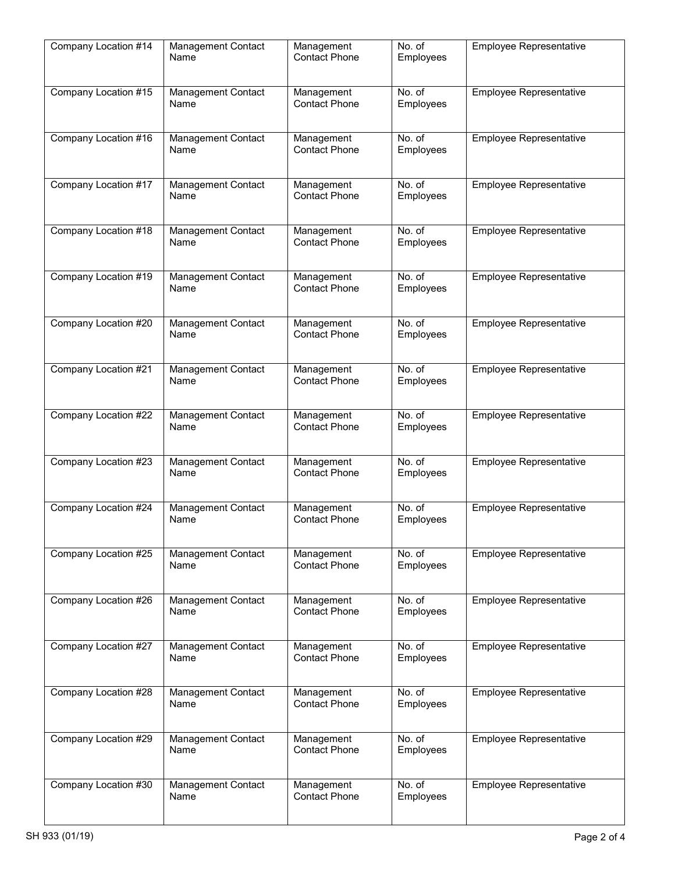| Company Location #14 | Management Contact<br>Name        | Management<br><b>Contact Phone</b> | No. of<br>Employees | <b>Employee Representative</b> |
|----------------------|-----------------------------------|------------------------------------|---------------------|--------------------------------|
| Company Location #15 | Management Contact<br>Name        | Management<br><b>Contact Phone</b> | No. of<br>Employees | <b>Employee Representative</b> |
| Company Location #16 | Management Contact<br>Name        | Management<br><b>Contact Phone</b> | No. of<br>Employees | Employee Representative        |
| Company Location #17 | Management Contact<br>Name        | Management<br><b>Contact Phone</b> | No. of<br>Employees | <b>Employee Representative</b> |
| Company Location #18 | Management Contact<br>Name        | Management<br><b>Contact Phone</b> | No. of<br>Employees | Employee Representative        |
| Company Location #19 | Management Contact<br>Name        | Management<br><b>Contact Phone</b> | No. of<br>Employees | <b>Employee Representative</b> |
| Company Location #20 | Management Contact<br>Name        | Management<br><b>Contact Phone</b> | No. of<br>Employees | <b>Employee Representative</b> |
| Company Location #21 | Management Contact<br>Name        | Management<br><b>Contact Phone</b> | No. of<br>Employees | <b>Employee Representative</b> |
| Company Location #22 | Management Contact<br>Name        | Management<br><b>Contact Phone</b> | No. of<br>Employees | Employee Representative        |
| Company Location #23 | Management Contact<br>Name        | Management<br><b>Contact Phone</b> | No. of<br>Employees | Employee Representative        |
| Company Location #24 | Management Contact<br>Name        | Management<br><b>Contact Phone</b> | No. of<br>Employees | Employee Representative        |
| Company Location #25 | <b>Management Contact</b><br>Name | Management<br><b>Contact Phone</b> | No. of<br>Employees | Employee Representative        |
| Company Location #26 | Management Contact<br>Name        | Management<br><b>Contact Phone</b> | No. of<br>Employees | Employee Representative        |
| Company Location #27 | <b>Management Contact</b><br>Name | Management<br><b>Contact Phone</b> | No. of<br>Employees | Employee Representative        |
| Company Location #28 | Management Contact<br>Name        | Management<br><b>Contact Phone</b> | No. of<br>Employees | Employee Representative        |
| Company Location #29 | Management Contact<br>Name        | Management<br><b>Contact Phone</b> | No. of<br>Employees | Employee Representative        |
| Company Location #30 | Management Contact<br>Name        | Management<br><b>Contact Phone</b> | No. of<br>Employees | Employee Representative        |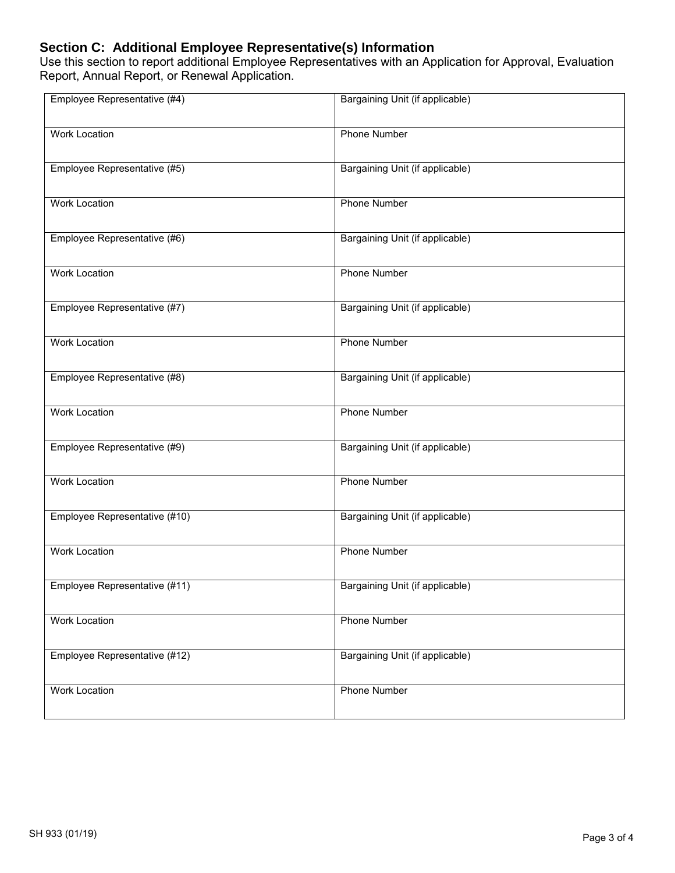## **Section C: Additional Employee Representative(s) Information**

Use this section to report additional Employee Representatives with an Application for Approval, Evaluation Report, Annual Report, or Renewal Application.

| Employee Representative (#4)  | Bargaining Unit (if applicable) |
|-------------------------------|---------------------------------|
| <b>Work Location</b>          | Phone Number                    |
| Employee Representative (#5)  | Bargaining Unit (if applicable) |
| <b>Work Location</b>          | <b>Phone Number</b>             |
| Employee Representative (#6)  | Bargaining Unit (if applicable) |
| <b>Work Location</b>          | <b>Phone Number</b>             |
| Employee Representative (#7)  | Bargaining Unit (if applicable) |
| <b>Work Location</b>          | <b>Phone Number</b>             |
| Employee Representative (#8)  | Bargaining Unit (if applicable) |
| <b>Work Location</b>          | <b>Phone Number</b>             |
| Employee Representative (#9)  | Bargaining Unit (if applicable) |
| <b>Work Location</b>          | <b>Phone Number</b>             |
| Employee Representative (#10) | Bargaining Unit (if applicable) |
| <b>Work Location</b>          | <b>Phone Number</b>             |
| Employee Representative (#11) | Bargaining Unit (if applicable) |
| <b>Work Location</b>          | <b>Phone Number</b>             |
| Employee Representative (#12) | Bargaining Unit (if applicable) |
| <b>Work Location</b>          | <b>Phone Number</b>             |